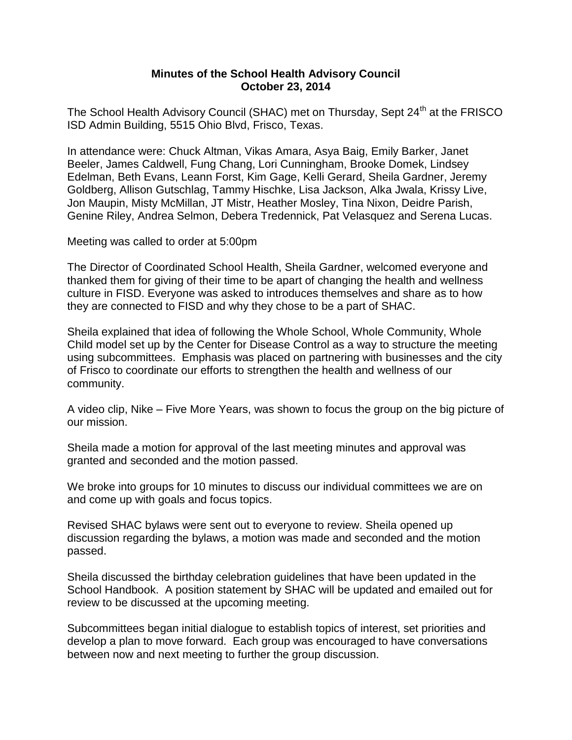## **Minutes of the School Health Advisory Council October 23, 2014**

The School Health Advisory Council (SHAC) met on Thursday, Sept 24<sup>th</sup> at the FRISCO ISD Admin Building, 5515 Ohio Blvd, Frisco, Texas.

In attendance were: Chuck Altman, Vikas Amara, Asya Baig, Emily Barker, Janet Beeler, James Caldwell, Fung Chang, Lori Cunningham, Brooke Domek, Lindsey Edelman, Beth Evans, Leann Forst, Kim Gage, Kelli Gerard, Sheila Gardner, Jeremy Goldberg, Allison Gutschlag, Tammy Hischke, Lisa Jackson, Alka Jwala, Krissy Live, Jon Maupin, Misty McMillan, JT Mistr, Heather Mosley, Tina Nixon, Deidre Parish, Genine Riley, Andrea Selmon, Debera Tredennick, Pat Velasquez and Serena Lucas.

Meeting was called to order at 5:00pm

The Director of Coordinated School Health, Sheila Gardner, welcomed everyone and thanked them for giving of their time to be apart of changing the health and wellness culture in FISD. Everyone was asked to introduces themselves and share as to how they are connected to FISD and why they chose to be a part of SHAC.

Sheila explained that idea of following the Whole School, Whole Community, Whole Child model set up by the Center for Disease Control as a way to structure the meeting using subcommittees. Emphasis was placed on partnering with businesses and the city of Frisco to coordinate our efforts to strengthen the health and wellness of our community.

A video clip, Nike – Five More Years, was shown to focus the group on the big picture of our mission.

Sheila made a motion for approval of the last meeting minutes and approval was granted and seconded and the motion passed.

We broke into groups for 10 minutes to discuss our individual committees we are on and come up with goals and focus topics.

Revised SHAC bylaws were sent out to everyone to review. Sheila opened up discussion regarding the bylaws, a motion was made and seconded and the motion passed.

Sheila discussed the birthday celebration guidelines that have been updated in the School Handbook. A position statement by SHAC will be updated and emailed out for review to be discussed at the upcoming meeting.

Subcommittees began initial dialogue to establish topics of interest, set priorities and develop a plan to move forward. Each group was encouraged to have conversations between now and next meeting to further the group discussion.